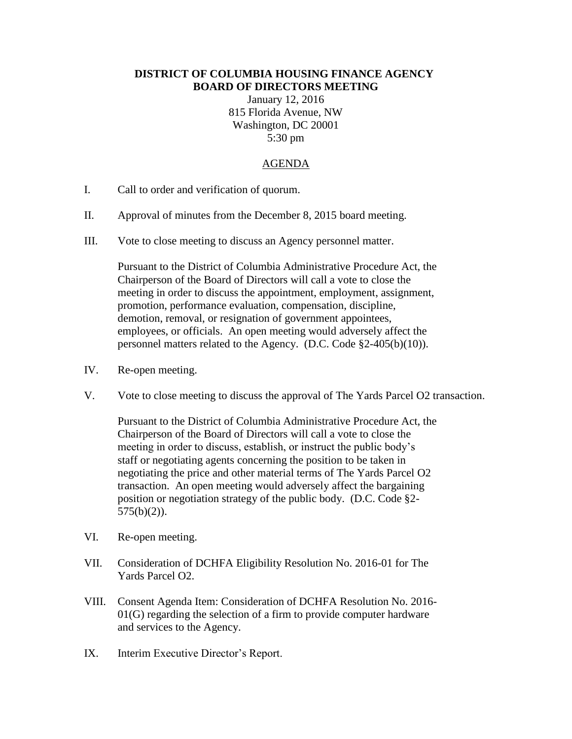## **DISTRICT OF COLUMBIA HOUSING FINANCE AGENCY BOARD OF DIRECTORS MEETING**

January 12, 2016 815 Florida Avenue, NW Washington, DC 20001 5:30 pm

## AGENDA

- I. Call to order and verification of quorum.
- II. Approval of minutes from the December 8, 2015 board meeting.
- III. Vote to close meeting to discuss an Agency personnel matter.

Pursuant to the District of Columbia Administrative Procedure Act, the Chairperson of the Board of Directors will call a vote to close the meeting in order to discuss the appointment, employment, assignment, promotion, performance evaluation, compensation, discipline, demotion, removal, or resignation of government appointees, employees, or officials. An open meeting would adversely affect the personnel matters related to the Agency. (D.C. Code §2-405(b)(10)).

- IV. Re-open meeting.
- V. Vote to close meeting to discuss the approval of The Yards Parcel O2 transaction.

Pursuant to the District of Columbia Administrative Procedure Act, the Chairperson of the Board of Directors will call a vote to close the meeting in order to discuss, establish, or instruct the public body's staff or negotiating agents concerning the position to be taken in negotiating the price and other material terms of The Yards Parcel O2 transaction. An open meeting would adversely affect the bargaining position or negotiation strategy of the public body. (D.C. Code §2- 575(b)(2)).

- VI. Re-open meeting.
- VII. Consideration of DCHFA Eligibility Resolution No. 2016-01 for The Yards Parcel O2.
- VIII. Consent Agenda Item: Consideration of DCHFA Resolution No. 2016-  $01(G)$  regarding the selection of a firm to provide computer hardware and services to the Agency.
- IX. Interim Executive Director's Report.